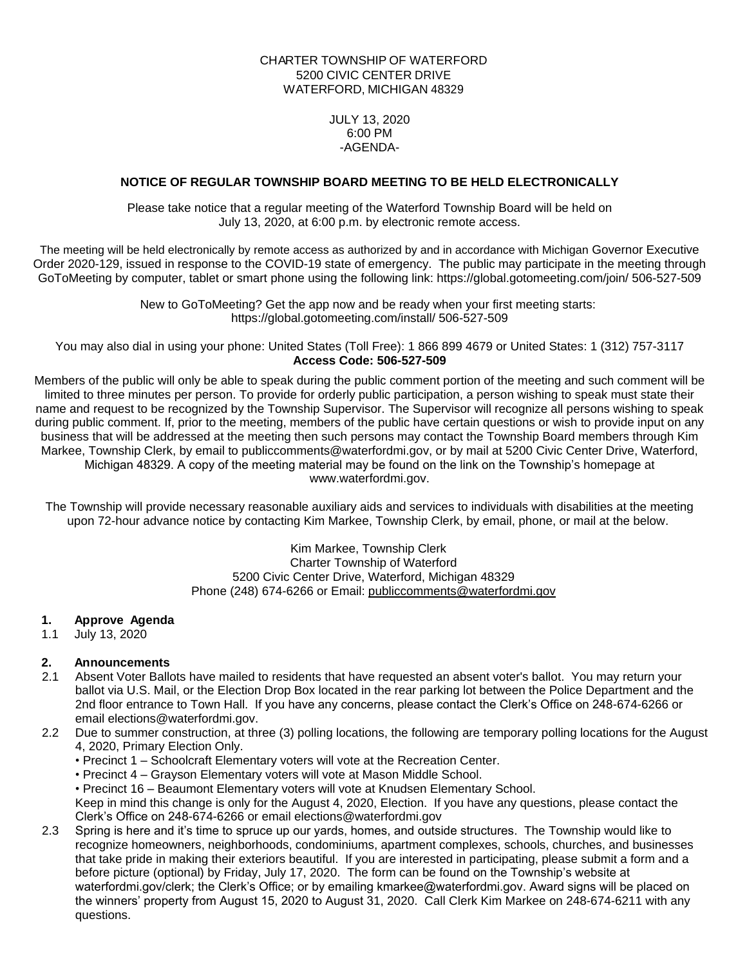# CHARTER TOWNSHIP OF WATERFORD 5200 CIVIC CENTER DRIVE WATERFORD, MICHIGAN 48329

JULY 13, 2020 6:00 PM -AGENDA-

# **NOTICE OF REGULAR TOWNSHIP BOARD MEETING TO BE HELD ELECTRONICALLY**

Please take notice that a regular meeting of the Waterford Township Board will be held on July 13, 2020, at 6:00 p.m. by electronic remote access.

The meeting will be held electronically by remote access as authorized by and in accordance with Michigan Governor Executive Order 2020-129, issued in response to the COVID-19 state of emergency. The public may participate in the meeting through GoToMeeting by computer, tablet or smart phone using the following link: https://global.gotomeeting.com/join/ 506-527-509

> New to GoToMeeting? Get the app now and be ready when your first meeting starts: https://global.gotomeeting.com/install/ 506-527-509

You may also dial in using your phone: United States (Toll Free): 1 866 899 4679 or United States: 1 (312) 757-3117 **Access Code: 506-527-509**

Members of the public will only be able to speak during the public comment portion of the meeting and such comment will be limited to three minutes per person. To provide for orderly public participation, a person wishing to speak must state their name and request to be recognized by the Township Supervisor. The Supervisor will recognize all persons wishing to speak during public comment. If, prior to the meeting, members of the public have certain questions or wish to provide input on any business that will be addressed at the meeting then such persons may contact the Township Board members through Kim Markee, Township Clerk, by email to publiccomments@waterfordmi.gov, or by mail at 5200 Civic Center Drive, Waterford, Michigan 48329. A copy of the meeting material may be found on the link on the Township's homepage at www.waterfordmi.gov.

The Township will provide necessary reasonable auxiliary aids and services to individuals with disabilities at the meeting upon 72-hour advance notice by contacting Kim Markee, Township Clerk, by email, phone, or mail at the below.

> Kim Markee, Township Clerk Charter Township of Waterford 5200 Civic Center Drive, Waterford, Michigan 48329 Phone (248) 674-6266 or Email: [publiccomments@waterfordmi.gov](mailto:publiccomments@waterfordmi.gov)

#### **1. Approve Agenda**

1.1 July 13, 2020

# **2. Announcements**

- 2.1 Absent Voter Ballots have mailed to residents that have requested an absent voter's ballot. You may return your ballot via U.S. Mail, or the Election Drop Box located in the rear parking lot between the Police Department and the 2nd floor entrance to Town Hall. If you have any concerns, please contact the Clerk's Office on 248-674-6266 or email [elections@waterfordmi.gov.](mailto:elections@waterfordmi.gov)
- 2.2 Due to summer construction, at three (3) polling locations, the following are temporary polling locations for the August 4, 2020, Primary Election Only.
	- Precinct 1 Schoolcraft Elementary voters will vote at the Recreation Center.
	- Precinct 4 Grayson Elementary voters will vote at Mason Middle School.

• Precinct 16 – Beaumont Elementary voters will vote at Knudsen Elementary School. Keep in mind this change is only for the August 4, 2020, Election. If you have any questions, please contact the Clerk's Office on 248-674-6266 or email elections@waterfordmi.gov

2.3 Spring is here and it's time to spruce up our yards, homes, and outside structures. The Township would like to recognize homeowners, neighborhoods, condominiums, apartment complexes, schools, churches, and businesses that take pride in making their exteriors beautiful. If you are interested in participating, please submit a form and a before picture (optional) by Friday, July 17, 2020. The form can be found on the Township's website at waterfordmi.gov/clerk; the Clerk's Office; or by emailing kmarkee@waterfordmi.gov. Award signs will be placed on the winners' property from August 15, 2020 to August 31, 2020. Call Clerk Kim Markee on 248-674-6211 with any questions.